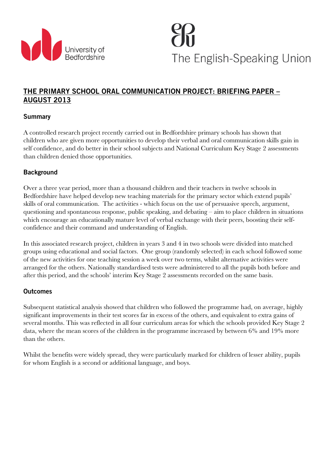

The English-Speaking Union

# THE PRIMARY SCHOOL ORAL COMMUNICATION PROJECT: BRIEFING PAPER – AUGUST 2013

## Summary

A controlled research project recently carried out in Bedfordshire primary schools has shown that children who are given more opportunities to develop their verbal and oral communication skills gain in self confidence, and do better in their school subjects and National Curriculum Key Stage 2 assessments than children denied those opportunities.

## **Background**

Over a three year period, more than a thousand children and their teachers in twelve schools in Bedfordshire have helped develop new teaching materials for the primary sector which extend pupils' skills of oral communication. The activities - which focus on the use of persuasive speech, argument, questioning and spontaneous response, public speaking, and debating – aim to place children in situations which encourage an educationally mature level of verbal exchange with their peers, boosting their selfconfidence and their command and understanding of English.

In this associated research project, children in years 3 and 4 in two schools were divided into matched groups using educational and social factors. One group (randomly selected) in each school followed some of the new activities for one teaching session a week over two terms, whilst alternative activities were arranged for the others. Nationally standardised tests were administered to all the pupils both before and after this period, and the schools' interim Key Stage 2 assessments recorded on the same basis.

#### **Outcomes**

Subsequent statistical analysis showed that children who followed the programme had, on average, highly significant improvements in their test scores far in excess of the others, and equivalent to extra gains of several months. This was reflected in all four curriculum areas for which the schools provided Key Stage 2 data, where the mean scores of the children in the programme increased by between 6% and 19% more than the others.

Whilst the benefits were widely spread, they were particularly marked for children of lesser ability, pupils for whom English is a second or additional language, and boys.